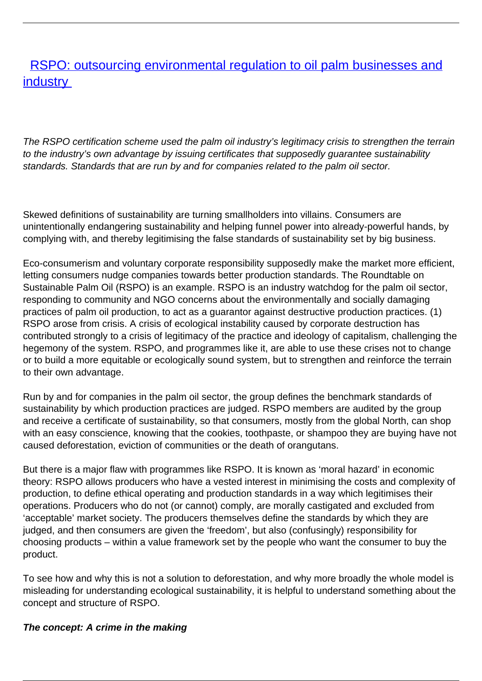## **[RSPO: outsourcing environmental regulation to oil palm businesses and](/bulletin-articles/rspo-outsourcing-environmental-regulation-to-oil-palm-businesses-and-industry) [industry](/bulletin-articles/rspo-outsourcing-environmental-regulation-to-oil-palm-businesses-and-industry)**

The RSPO certification scheme used the palm oil industry's legitimacy crisis to strengthen the terrain to the industry's own advantage by issuing certificates that supposedly guarantee sustainability standards. Standards that are run by and for companies related to the palm oil sector.

Skewed definitions of sustainability are turning smallholders into villains. Consumers are unintentionally endangering sustainability and helping funnel power into already-powerful hands, by complying with, and thereby legitimising the false standards of sustainability set by big business.

Eco-consumerism and voluntary corporate responsibility supposedly make the market more efficient, letting consumers nudge companies towards better production standards. The Roundtable on Sustainable Palm Oil (RSPO) is an example. RSPO is an industry watchdog for the palm oil sector, responding to community and NGO concerns about the environmentally and socially damaging practices of palm oil production, to act as a guarantor against destructive production practices. (1) RSPO arose from crisis. A crisis of ecological instability caused by corporate destruction has contributed strongly to a crisis of legitimacy of the practice and ideology of capitalism, challenging the hegemony of the system. RSPO, and programmes like it, are able to use these crises not to change or to build a more equitable or ecologically sound system, but to strengthen and reinforce the terrain to their own advantage.

Run by and for companies in the palm oil sector, the group defines the benchmark standards of sustainability by which production practices are judged. RSPO members are audited by the group and receive a certificate of sustainability, so that consumers, mostly from the global North, can shop with an easy conscience, knowing that the cookies, toothpaste, or shampoo they are buying have not caused deforestation, eviction of communities or the death of orangutans.

But there is a major flaw with programmes like RSPO. It is known as 'moral hazard' in economic theory: RSPO allows producers who have a vested interest in minimising the costs and complexity of production, to define ethical operating and production standards in a way which legitimises their operations. Producers who do not (or cannot) comply, are morally castigated and excluded from 'acceptable' market society. The producers themselves define the standards by which they are judged, and then consumers are given the 'freedom', but also (confusingly) responsibility for choosing products – within a value framework set by the people who want the consumer to buy the product.

To see how and why this is not a solution to deforestation, and why more broadly the whole model is misleading for understanding ecological sustainability, it is helpful to understand something about the concept and structure of RSPO.

## **The concept: A crime in the making**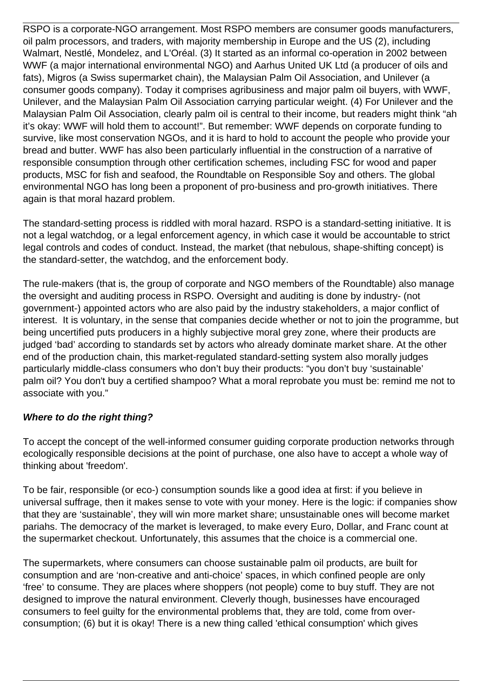RSPO is a corporate-NGO arrangement. Most RSPO members are consumer goods manufacturers, oil palm processors, and traders, with majority membership in Europe and the US (2), including Walmart, Nestlé, Mondelez, and L'Oréal. (3) It started as an informal co-operation in 2002 between WWF (a major international environmental NGO) and Aarhus United UK Ltd (a producer of oils and fats), Migros (a Swiss supermarket chain), the Malaysian Palm Oil Association, and Unilever (a consumer goods company). Today it comprises agribusiness and major palm oil buyers, with WWF, Unilever, and the Malaysian Palm Oil Association carrying particular weight. (4) For Unilever and the Malaysian Palm Oil Association, clearly palm oil is central to their income, but readers might think "ah it's okay: WWF will hold them to account!". But remember: WWF depends on corporate funding to survive, like most conservation NGOs, and it is hard to hold to account the people who provide your bread and butter. WWF has also been particularly influential in the construction of a narrative of responsible consumption through other certification schemes, including FSC for wood and paper products, MSC for fish and seafood, the Roundtable on Responsible Soy and others. The global environmental NGO has long been a proponent of pro-business and pro-growth initiatives. There again is that moral hazard problem.

The standard-setting process is riddled with moral hazard. RSPO is a standard-setting initiative. It is not a legal watchdog, or a legal enforcement agency, in which case it would be accountable to strict legal controls and codes of conduct. Instead, the market (that nebulous, shape-shifting concept) is the standard-setter, the watchdog, and the enforcement body.

The rule-makers (that is, the group of corporate and NGO members of the Roundtable) also manage the oversight and auditing process in RSPO. Oversight and auditing is done by industry- (not government-) appointed actors who are also paid by the industry stakeholders, a major conflict of interest. It is voluntary, in the sense that companies decide whether or not to join the programme, but being uncertified puts producers in a highly subjective moral grey zone, where their products are judged 'bad' according to standards set by actors who already dominate market share. At the other end of the production chain, this market-regulated standard-setting system also morally judges particularly middle-class consumers who don't buy their products: "you don't buy 'sustainable' palm oil? You don't buy a certified shampoo? What a moral reprobate you must be: remind me not to associate with you."

## **Where to do the right thing?**

To accept the concept of the well-informed consumer guiding corporate production networks through ecologically responsible decisions at the point of purchase, one also have to accept a whole way of thinking about 'freedom'.

To be fair, responsible (or eco-) consumption sounds like a good idea at first: if you believe in universal suffrage, then it makes sense to vote with your money. Here is the logic: if companies show that they are 'sustainable', they will win more market share; unsustainable ones will become market pariahs. The democracy of the market is leveraged, to make every Euro, Dollar, and Franc count at the supermarket checkout. Unfortunately, this assumes that the choice is a commercial one.

The supermarkets, where consumers can choose sustainable palm oil products, are built for consumption and are 'non-creative and anti-choice' spaces, in which confined people are only 'free' to consume. They are places where shoppers (not people) come to buy stuff. They are not designed to improve the natural environment. Cleverly though, businesses have encouraged consumers to feel guilty for the environmental problems that, they are told, come from overconsumption; (6) but it is okay! There is a new thing called 'ethical consumption' which gives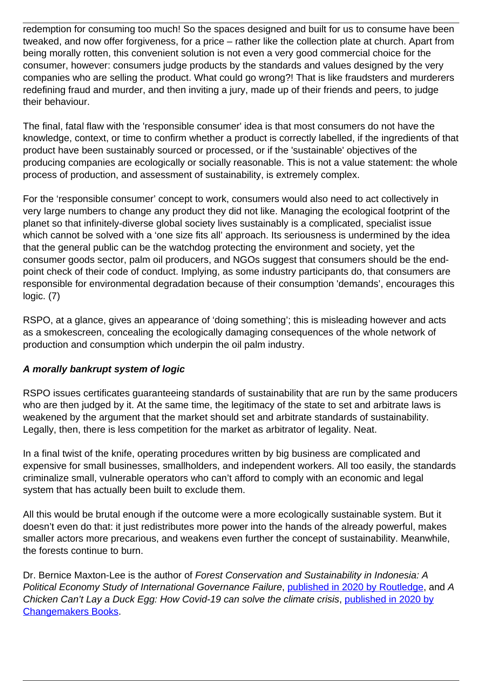redemption for consuming too much! So the spaces designed and built for us to consume have been tweaked, and now offer forgiveness, for a price – rather like the collection plate at church. Apart from being morally rotten, this convenient solution is not even a very good commercial choice for the consumer, however: consumers judge products by the standards and values designed by the very companies who are selling the product. What could go wrong?! That is like fraudsters and murderers redefining fraud and murder, and then inviting a jury, made up of their friends and peers, to judge their behaviour.

The final, fatal flaw with the 'responsible consumer' idea is that most consumers do not have the knowledge, context, or time to confirm whether a product is correctly labelled, if the ingredients of that product have been sustainably sourced or processed, or if the 'sustainable' objectives of the producing companies are ecologically or socially reasonable. This is not a value statement: the whole process of production, and assessment of sustainability, is extremely complex.

For the 'responsible consumer' concept to work, consumers would also need to act collectively in very large numbers to change any product they did not like. Managing the ecological footprint of the planet so that infinitely-diverse global society lives sustainably is a complicated, specialist issue which cannot be solved with a 'one size fits all' approach. Its seriousness is undermined by the idea that the general public can be the watchdog protecting the environment and society, yet the consumer goods sector, palm oil producers, and NGOs suggest that consumers should be the endpoint check of their code of conduct. Implying, as some industry participants do, that consumers are responsible for environmental degradation because of their consumption 'demands', encourages this logic. (7)

RSPO, at a glance, gives an appearance of 'doing something'; this is misleading however and acts as a smokescreen, concealing the ecologically damaging consequences of the whole network of production and consumption which underpin the oil palm industry.

## **A morally bankrupt system of logic**

RSPO issues certificates guaranteeing standards of sustainability that are run by the same producers who are then judged by it. At the same time, the legitimacy of the state to set and arbitrate laws is weakened by the argument that the market should set and arbitrate standards of sustainability. Legally, then, there is less competition for the market as arbitrator of legality. Neat.

In a final twist of the knife, operating procedures written by big business are complicated and expensive for small businesses, smallholders, and independent workers. All too easily, the standards criminalize small, vulnerable operators who can't afford to comply with an economic and legal system that has actually been built to exclude them.

All this would be brutal enough if the outcome were a more ecologically sustainable system. But it doesn't even do that: it just redistributes more power into the hands of the already powerful, makes smaller actors more precarious, and weakens even further the concept of sustainability. Meanwhile, the forests continue to burn.

Dr. Bernice Maxton-Lee is the author of Forest Conservation and Sustainability in Indonesia: A Political Economy Study of International Governance Failure, [published in 2020 by Routledge](https://wrm.us9.list-manage.com/track/click?u=f91b651f7fecdf835b57dc11d&id=1c8ce0edcc&e=08ad7e6520), and A Chicken Can't Lay a Duck Egg: How Covid-19 can solve the climate crisis, [published in 2020 by](https://wrm.us9.list-manage.com/track/click?u=f91b651f7fecdf835b57dc11d&id=81f501ecce&e=08ad7e6520) [Changemakers Books](https://wrm.us9.list-manage.com/track/click?u=f91b651f7fecdf835b57dc11d&id=81f501ecce&e=08ad7e6520).